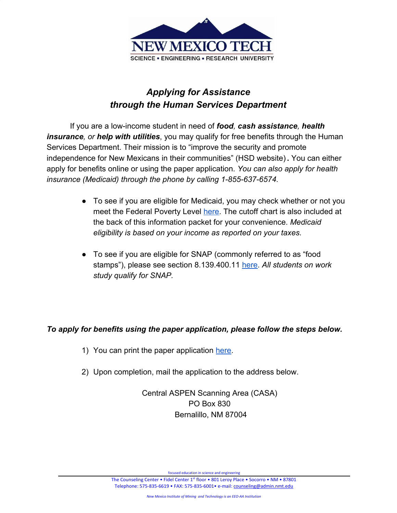

# *Applying for Assistance through the Human Services Department*

If you are a low-income student in need of *food, cash assistance, health insurance, or help with utilities*, you may qualify for free benefits through the Human Services Department. Their mission is to "improve the security and promote independence for New Mexicans in their communities" (HSD website) **.** You can either apply for benefits online or using the paper application. *You can also apply for health insurance (Medicaid) through the phone by calling 1-855-637-6574.*

- To see if you are eligible for Medicaid, you may check whether or not you meet the Federal Poverty Level [here](https://www.hsd.state.nm.us/uploads/files/Looking%20for%20Assistance_Apply%20for%20Benefits/Apply%20for%20Benefits/Covid-19/English-Flyer-Coverage%20Options-FINAL-2020-4-9.pdf). The cutoff chart is also included at the back of this information packet for your convenience. *Medicaid eligibility is based on your income as reported on your taxes.*
- To see if you are eligible for SNAP (commonly referred to as "food stamps"), please see section 8.139.400.11 [here.](https://www.hsd.state.nm.us/uploads/files/8_139_400%20NMAC(1).pdf) *All students on work study qualify for SNAP.*

# *To apply for benefits using the paper application, please follow the steps below.*

- 1) You can print the paper application [here.](https://www.hsd.state.nm.us/LookingForAssistance/apply-for-benefits.aspx)
- 2) Upon completion, mail the application to the address below.

Central ASPEN Scanning Area (CASA) PO Box 830 Bernalillo, NM 87004

focused education in science and engineering

The Counseling Center • Fidel Center 1<sup>st</sup> floor • 801 Leroy Place • Socorro • NM • 87801 Telephone: 575-835-6619 • FAX: 575-835-6001• e-mail: [counseling@admin.nmt.edu](mailto:counseling@admin.nmt.edu)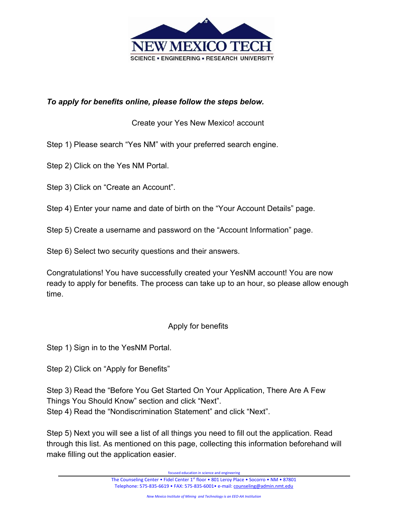

## *To apply for benefits online, please follow the steps below.*

Create your Yes New Mexico! account

Step 1) Please search "Yes NM" with your preferred search engine.

Step 2) Click on the Yes NM Portal.

Step 3) Click on "Create an Account".

Step 4) Enter your name and date of birth on the "Your Account Details" page.

Step 5) Create a username and password on the "Account Information" page.

Step 6) Select two security questions and their answers.

Congratulations! You have successfully created your YesNM account! You are now ready to apply for benefits. The process can take up to an hour, so please allow enough time.

#### Apply for benefits

Step 1) Sign in to the YesNM Portal.

Step 2) Click on "Apply for Benefits"

Step 3) Read the "Before You Get Started On Your Application, There Are A Few Things You Should Know" section and click "Next". Step 4) Read the "Nondiscrimination Statement" and click "Next".

Step 5) Next you will see a list of all things you need to fill out the application. Read through this list. As mentioned on this page, collecting this information beforehand will make filling out the application easier.

focused education in science and engineering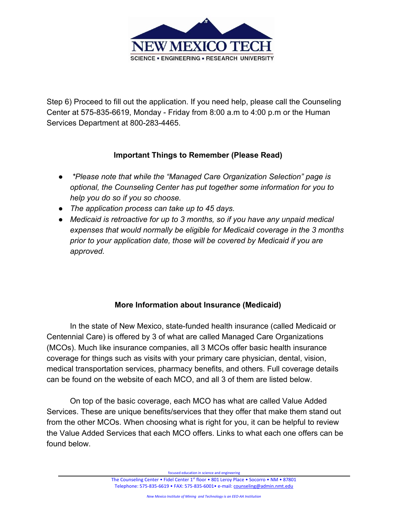

Step 6) Proceed to fill out the application. If you need help, please call the Counseling Center at 575-835-6619, Monday - Friday from 8:00 a.m to 4:00 p.m or the Human Services Department at 800-283-4465.

## **Important Things to Remember (Please Read)**

- *\*Please note that while the "Managed Care Organization Selection" page is optional, the Counseling Center has put together some information for you to help you do so if you so choose.*
- *● The application process can take up to 45 days.*
- *● Medicaid is retroactive for up to 3 months, so if you have any unpaid medical expenses that would normally be eligible for Medicaid coverage in the 3 months prior to your application date, those will be covered by Medicaid if you are approved.*

## **More Information about Insurance (Medicaid)**

In the state of New Mexico, state-funded health insurance (called Medicaid or Centennial Care) is offered by 3 of what are called Managed Care Organizations (MCOs). Much like insurance companies, all 3 MCOs offer basic health insurance coverage for things such as visits with your primary care physician, dental, vision, medical transportation services, pharmacy benefits, and others. Full coverage details can be found on the website of each MCO, and all 3 of them are listed below.

On top of the basic coverage, each MCO has what are called Value Added Services. These are unique benefits/services that they offer that make them stand out from the other MCOs. When choosing what is right for you, it can be helpful to review the Value Added Services that each MCO offers. Links to what each one offers can be found below.

focused education in science and engineering

The Counseling Center • Fidel Center 1<sup>st</sup> floor • 801 Leroy Place • Socorro • NM • 87801 Telephone: 575-835-6619 • FAX: 575-835-6001• e-mail: [counseling@admin.nmt.edu](mailto:counseling@admin.nmt.edu)